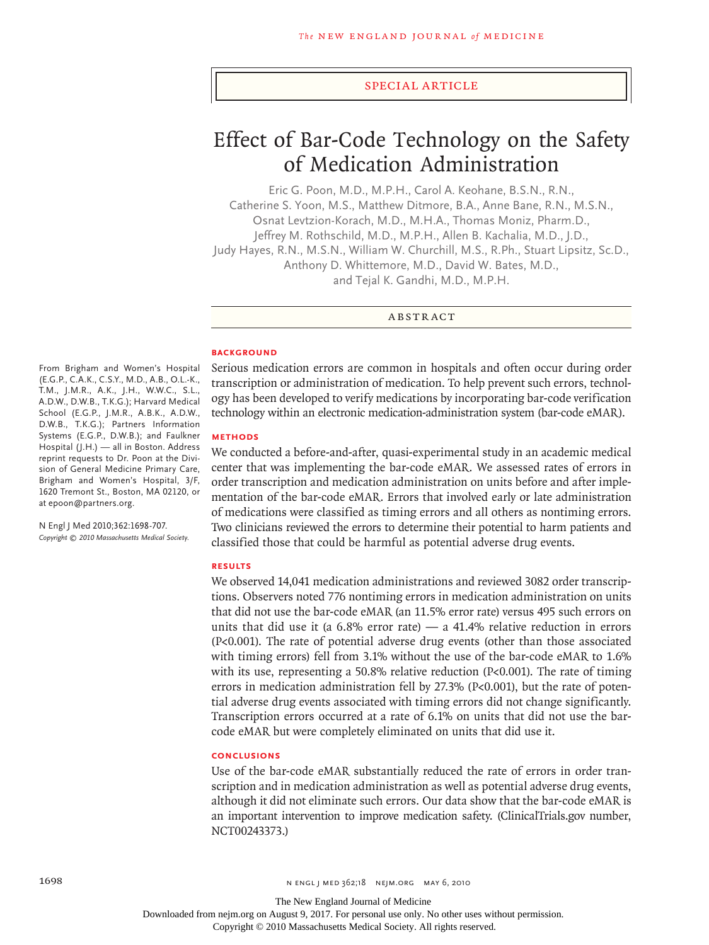### special article

# Effect of Bar-Code Technology on the Safety of Medication Administration

Eric G. Poon, M.D., M.P.H., Carol A. Keohane, B.S.N., R.N., Catherine S. Yoon, M.S., Matthew Ditmore, B.A., Anne Bane, R.N., M.S.N., Osnat Levtzion-Korach, M.D., M.H.A., Thomas Moniz, Pharm.D., Jeffrey M. Rothschild, M.D., M.P.H., Allen B. Kachalia, M.D., J.D., Judy Hayes, R.N., M.S.N., William W. Churchill, M.S., R.Ph., Stuart Lipsitz, Sc.D., Anthony D. Whittemore, M.D., David W. Bates, M.D., and Tejal K. Gandhi, M.D., M.P.H.

**ABSTRACT** 

#### **BACKGROUND**

Serious medication errors are common in hospitals and often occur during order transcription or administration of medication. To help prevent such errors, technology has been developed to verify medications by incorporating bar-code verification technology within an electronic medication-administration system (bar-code eMAR).

#### **METHODS**

We conducted a before-and-after, quasi-experimental study in an academic medical center that was implementing the bar-code eMAR. We assessed rates of errors in order transcription and medication administration on units before and after implementation of the bar-code eMAR. Errors that involved early or late administration of medications were classified as timing errors and all others as nontiming errors. Two clinicians reviewed the errors to determine their potential to harm patients and classified those that could be harmful as potential adverse drug events.

## **RESULTS**

We observed 14,041 medication administrations and reviewed 3082 order transcriptions. Observers noted 776 nontiming errors in medication administration on units that did not use the bar-code eMAR (an 11.5% error rate) versus 495 such errors on units that did use it (a 6.8% error rate) — a 41.4% relative reduction in errors (P<0.001). The rate of potential adverse drug events (other than those associated with timing errors) fell from 3.1% without the use of the bar-code eMAR to 1.6% with its use, representing a 50.8% relative reduction (P<0.001). The rate of timing errors in medication administration fell by 27.3% (P<0.001), but the rate of potential adverse drug events associated with timing errors did not change significantly. Transcription errors occurred at a rate of 6.1% on units that did not use the barcode eMAR but were completely eliminated on units that did use it.

## **CONCLUSIONS**

Use of the bar-code eMAR substantially reduced the rate of errors in order transcription and in medication administration as well as potential adverse drug events, although it did not eliminate such errors. Our data show that the bar-code eMAR is an important intervention to improve medication safety. (ClinicalTrials.gov number, NCT00243373.)

From Brigham and Women's Hospital (E.G.P., C.A.K., C.S.Y., M.D., A.B., O.L.-K., T.M., J.M.R., A.K., J.H., W.W.C., S.L., A.D.W., D.W.B., T.K.G.); Harvard Medical School (E.G.P., J.M.R., A.B.K., A.D.W., D.W.B., T.K.G.); Partners Information Systems (E.G.P., D.W.B.); and Faulkner Hospital (J.H.) — all in Boston. Address reprint requests to Dr. Poon at the Division of General Medicine Primary Care, Brigham and Women's Hospital, 3/F, 1620 Tremont St., Boston, MA 02120, or at epoon@partners.org.

N Engl J Med 2010;362:1698-707. *Copyright © 2010 Massachusetts Medical Society.*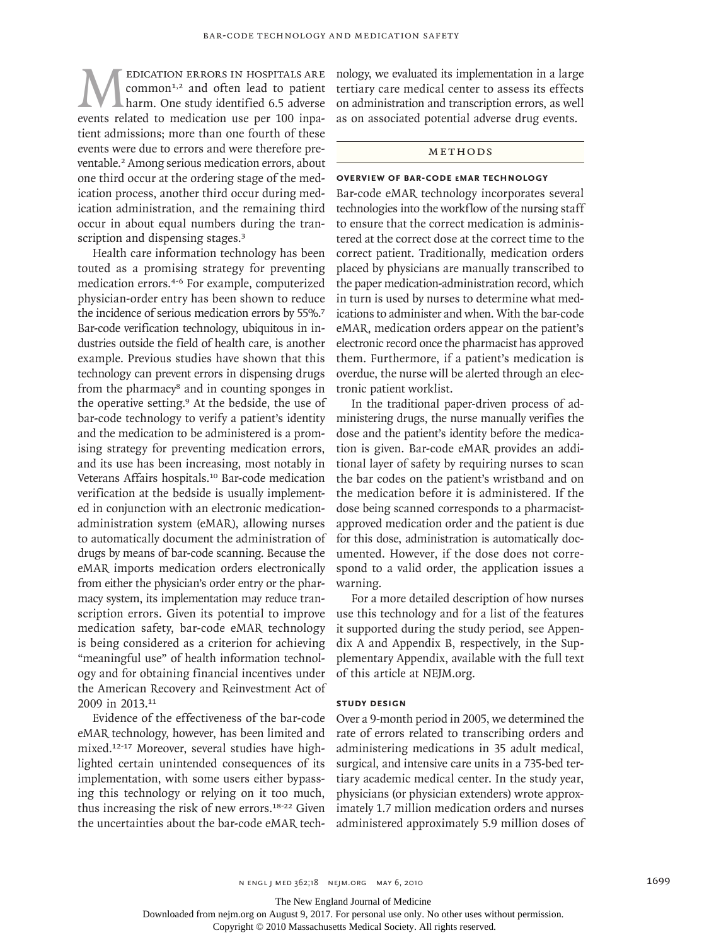MEDICATION ERRORS IN HOSPITALS ARE<br>
common<sup>1,2</sup> and often lead to patient<br>
harm. One study identified 6.5 adverse<br>
events related to medication use per 100 inpa $common<sup>1,2</sup>$  and often lead to patient harm. One study identified 6.5 adverse tient admissions; more than one fourth of these events were due to errors and were therefore preventable.2 Among serious medication errors, about one third occur at the ordering stage of the medication process, another third occur during medication administration, and the remaining third occur in about equal numbers during the transcription and dispensing stages.<sup>3</sup>

Health care information technology has been touted as a promising strategy for preventing medication errors.4-6 For example, computerized physician-order entry has been shown to reduce the incidence of serious medication errors by 55%.<sup>7</sup> Bar-code verification technology, ubiquitous in industries outside the field of health care, is another example. Previous studies have shown that this technology can prevent errors in dispensing drugs from the pharmacy<sup>8</sup> and in counting sponges in the operative setting.9 At the bedside, the use of bar-code technology to verify a patient's identity and the medication to be administered is a promising strategy for preventing medication errors, and its use has been increasing, most notably in Veterans Affairs hospitals.<sup>10</sup> Bar-code medication verification at the bedside is usually implemented in conjunction with an electronic medicationadministration system (eMAR), allowing nurses to automatically document the administration of drugs by means of bar-code scanning. Because the eMAR imports medication orders electronically from either the physician's order entry or the pharmacy system, its implementation may reduce transcription errors. Given its potential to improve medication safety, bar-code eMAR technology is being considered as a criterion for achieving "meaningful use" of health information technology and for obtaining financial incentives under the American Recovery and Reinvestment Act of 2009 in 2013.<sup>11</sup>

Evidence of the effectiveness of the bar-code eMAR technology, however, has been limited and mixed.12-17 Moreover, several studies have highlighted certain unintended consequences of its implementation, with some users either bypassing this technology or relying on it too much, thus increasing the risk of new errors.18-22 Given the uncertainties about the bar-code eMAR technology, we evaluated its implementation in a large tertiary care medical center to assess its effects on administration and transcription errors, as well as on associated potential adverse drug events.

### Methods

# **Overview of Bar-Code eMAR Technology**

Bar-code eMAR technology incorporates several technologies into the workflow of the nursing staff to ensure that the correct medication is administered at the correct dose at the correct time to the correct patient. Traditionally, medication orders placed by physicians are manually transcribed to the paper medication-administration record, which in turn is used by nurses to determine what medications to administer and when. With the bar-code eMAR, medication orders appear on the patient's electronic record once the pharmacist has approved them. Furthermore, if a patient's medication is overdue, the nurse will be alerted through an electronic patient worklist.

In the traditional paper-driven process of administering drugs, the nurse manually verifies the dose and the patient's identity before the medication is given. Bar-code eMAR provides an additional layer of safety by requiring nurses to scan the bar codes on the patient's wristband and on the medication before it is administered. If the dose being scanned corresponds to a pharmacistapproved medication order and the patient is due for this dose, administration is automatically documented. However, if the dose does not correspond to a valid order, the application issues a warning.

For a more detailed description of how nurses use this technology and for a list of the features it supported during the study period, see Appendix A and Appendix B, respectively, in the Supplementary Appendix, available with the full text of this article at NEJM.org.

## **Study Design**

Over a 9-month period in 2005, we determined the rate of errors related to transcribing orders and administering medications in 35 adult medical, surgical, and intensive care units in a 735-bed tertiary academic medical center. In the study year, physicians (or physician extenders) wrote approximately 1.7 million medication orders and nurses administered approximately 5.9 million doses of

The New England Journal of Medicine

Downloaded from nejm.org on August 9, 2017. For personal use only. No other uses without permission.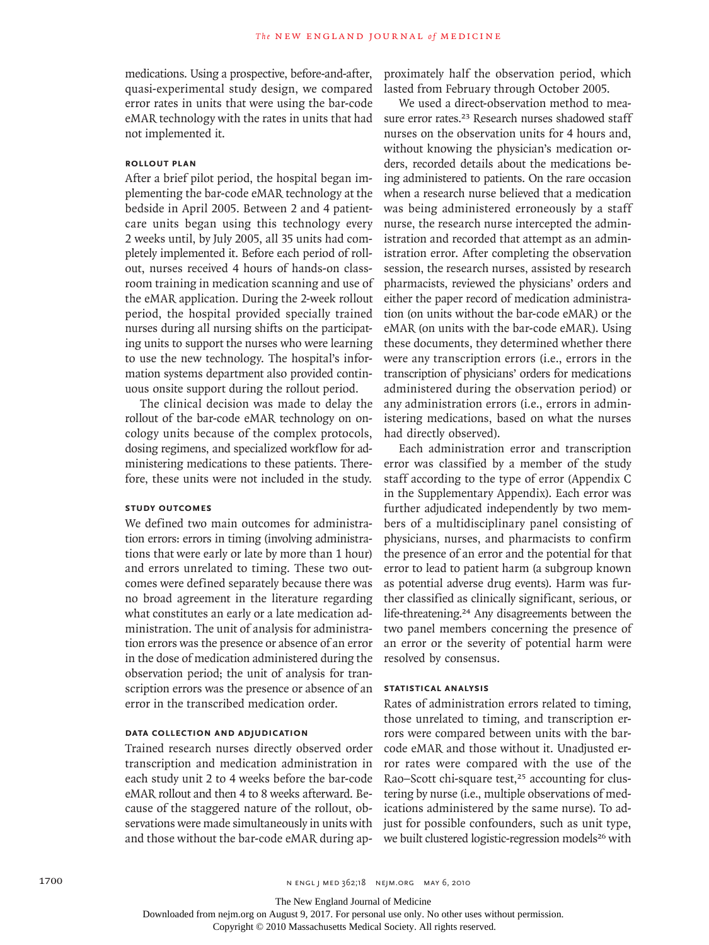medications. Using a prospective, before-and-after, quasi-experimental study design, we compared error rates in units that were using the bar-code eMAR technology with the rates in units that had not implemented it.

# **Rollout Plan**

After a brief pilot period, the hospital began implementing the bar-code eMAR technology at the bedside in April 2005. Between 2 and 4 patientcare units began using this technology every 2 weeks until, by July 2005, all 35 units had completely implemented it. Before each period of rollout, nurses received 4 hours of hands-on classroom training in medication scanning and use of the eMAR application. During the 2-week rollout period, the hospital provided specially trained nurses during all nursing shifts on the participating units to support the nurses who were learning to use the new technology. The hospital's information systems department also provided continuous onsite support during the rollout period.

The clinical decision was made to delay the rollout of the bar-code eMAR technology on oncology units because of the complex protocols, dosing regimens, and specialized workflow for administering medications to these patients. Therefore, these units were not included in the study.

# **Study Outcomes**

We defined two main outcomes for administration errors: errors in timing (involving administrations that were early or late by more than 1 hour) and errors unrelated to timing. These two outcomes were defined separately because there was no broad agreement in the literature regarding what constitutes an early or a late medication administration. The unit of analysis for administration errors was the presence or absence of an error in the dose of medication administered during the observation period; the unit of analysis for transcription errors was the presence or absence of an error in the transcribed medication order.

## **Data Collection and Adjudication**

Trained research nurses directly observed order transcription and medication administration in each study unit 2 to 4 weeks before the bar-code eMAR rollout and then 4 to 8 weeks afterward. Because of the staggered nature of the rollout, observations were made simultaneously in units with and those without the bar-code eMAR during approximately half the observation period, which lasted from February through October 2005.

We used a direct-observation method to measure error rates.<sup>23</sup> Research nurses shadowed staff nurses on the observation units for 4 hours and, without knowing the physician's medication orders, recorded details about the medications being administered to patients. On the rare occasion when a research nurse believed that a medication was being administered erroneously by a staff nurse, the research nurse intercepted the administration and recorded that attempt as an administration error. After completing the observation session, the research nurses, assisted by research pharmacists, reviewed the physicians' orders and either the paper record of medication administration (on units without the bar-code eMAR) or the eMAR (on units with the bar-code eMAR). Using these documents, they determined whether there were any transcription errors (i.e., errors in the transcription of physicians' orders for medications administered during the observation period) or any administration errors (i.e., errors in administering medications, based on what the nurses had directly observed).

Each administration error and transcription error was classified by a member of the study staff according to the type of error (Appendix C in the Supplementary Appendix). Each error was further adjudicated independently by two members of a multidisciplinary panel consisting of physicians, nurses, and pharmacists to confirm the presence of an error and the potential for that error to lead to patient harm (a subgroup known as potential adverse drug events). Harm was further classified as clinically significant, serious, or life-threatening.<sup>24</sup> Any disagreements between the two panel members concerning the presence of an error or the severity of potential harm were resolved by consensus.

## **Statistical Analysis**

Rates of administration errors related to timing, those unrelated to timing, and transcription errors were compared between units with the barcode eMAR and those without it. Unadjusted error rates were compared with the use of the Rao–Scott chi-square test,<sup>25</sup> accounting for clustering by nurse (i.e., multiple observations of medications administered by the same nurse). To adjust for possible confounders, such as unit type, we built clustered logistic-regression models<sup>26</sup> with

The New England Journal of Medicine

Downloaded from nejm.org on August 9, 2017. For personal use only. No other uses without permission.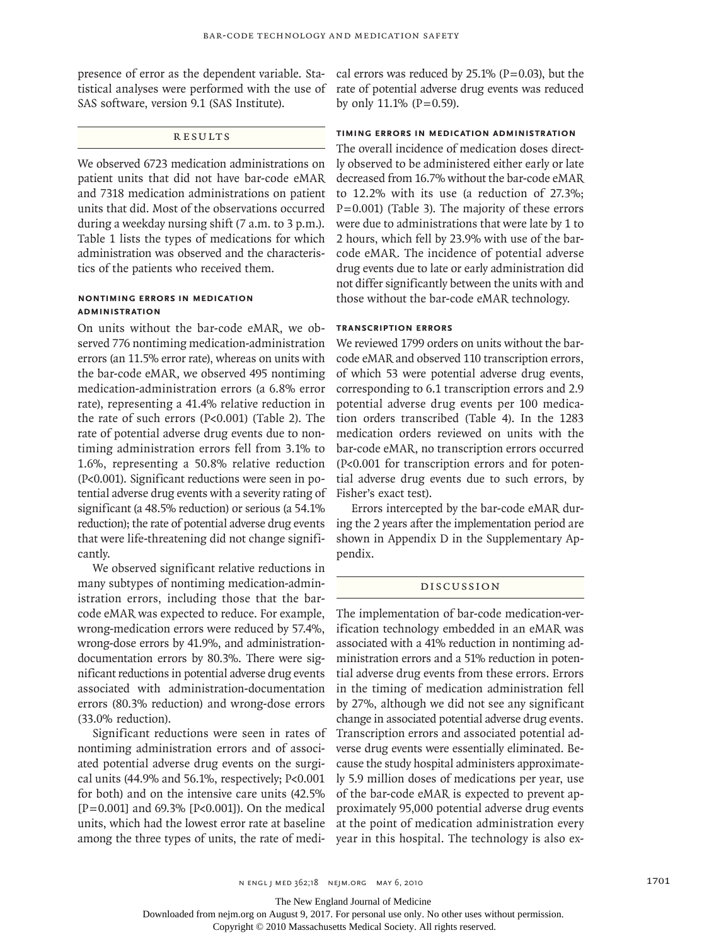presence of error as the dependent variable. Statistical analyses were performed with the use of SAS software, version 9.1 (SAS Institute).

# **RESULTS**

We observed 6723 medication administrations on patient units that did not have bar-code eMAR and 7318 medication administrations on patient units that did. Most of the observations occurred during a weekday nursing shift (7 a.m. to 3 p.m.). Table 1 lists the types of medications for which administration was observed and the characteristics of the patients who received them.

# **Nontiming Errors in Medication Administration**

On units without the bar-code eMAR, we observed 776 nontiming medication-administration errors (an 11.5% error rate), whereas on units with the bar-code eMAR, we observed 495 nontiming medication-administration errors (a 6.8% error rate), representing a 41.4% relative reduction in the rate of such errors (P<0.001) (Table 2). The rate of potential adverse drug events due to nontiming administration errors fell from 3.1% to 1.6%, representing a 50.8% relative reduction (P<0.001). Significant reductions were seen in potential adverse drug events with a severity rating of significant (a 48.5% reduction) or serious (a 54.1% reduction); the rate of potential adverse drug events that were life-threatening did not change significantly.

We observed significant relative reductions in many subtypes of nontiming medication-administration errors, including those that the barcode eMAR was expected to reduce. For example, wrong-medication errors were reduced by 57.4%, wrong-dose errors by 41.9%, and administrationdocumentation errors by 80.3%. There were significant reductions in potential adverse drug events associated with administration-documentation errors (80.3% reduction) and wrong-dose errors (33.0% reduction).

Significant reductions were seen in rates of nontiming administration errors and of associated potential adverse drug events on the surgical units (44.9% and 56.1%, respectively; P<0.001 for both) and on the intensive care units (42.5%  $[P=0.001]$  and 69.3%  $[P<0.001]$ ). On the medical units, which had the lowest error rate at baseline among the three types of units, the rate of medical errors was reduced by  $25.1\%$  (P=0.03), but the rate of potential adverse drug events was reduced by only  $11.1\%$  (P=0.59).

# **Timing Errors in Medication Administration**

The overall incidence of medication doses directly observed to be administered either early or late decreased from 16.7% without the bar-code eMAR to 12.2% with its use (a reduction of 27.3%; P=0.001) (Table 3). The majority of these errors were due to administrations that were late by 1 to 2 hours, which fell by 23.9% with use of the barcode eMAR. The incidence of potential adverse drug events due to late or early administration did not differ significantly between the units with and those without the bar-code eMAR technology.

## **Transcription Errors**

We reviewed 1799 orders on units without the barcode eMAR and observed 110 transcription errors, of which 53 were potential adverse drug events, corresponding to 6.1 transcription errors and 2.9 potential adverse drug events per 100 medication orders transcribed (Table 4). In the 1283 medication orders reviewed on units with the bar-code eMAR, no transcription errors occurred (P<0.001 for transcription errors and for potential adverse drug events due to such errors, by Fisher's exact test).

Errors intercepted by the bar-code eMAR during the 2 years after the implementation period are shown in Appendix D in the Supplementary Appendix.

#### Discussion

The implementation of bar-code medication-verification technology embedded in an eMAR was associated with a 41% reduction in nontiming administration errors and a 51% reduction in potential adverse drug events from these errors. Errors in the timing of medication administration fell by 27%, although we did not see any significant change in associated potential adverse drug events. Transcription errors and associated potential adverse drug events were essentially eliminated. Because the study hospital administers approximately 5.9 million doses of medications per year, use of the bar-code eMAR is expected to prevent approximately 95,000 potential adverse drug events at the point of medication administration every year in this hospital. The technology is also ex-

The New England Journal of Medicine

Downloaded from nejm.org on August 9, 2017. For personal use only. No other uses without permission.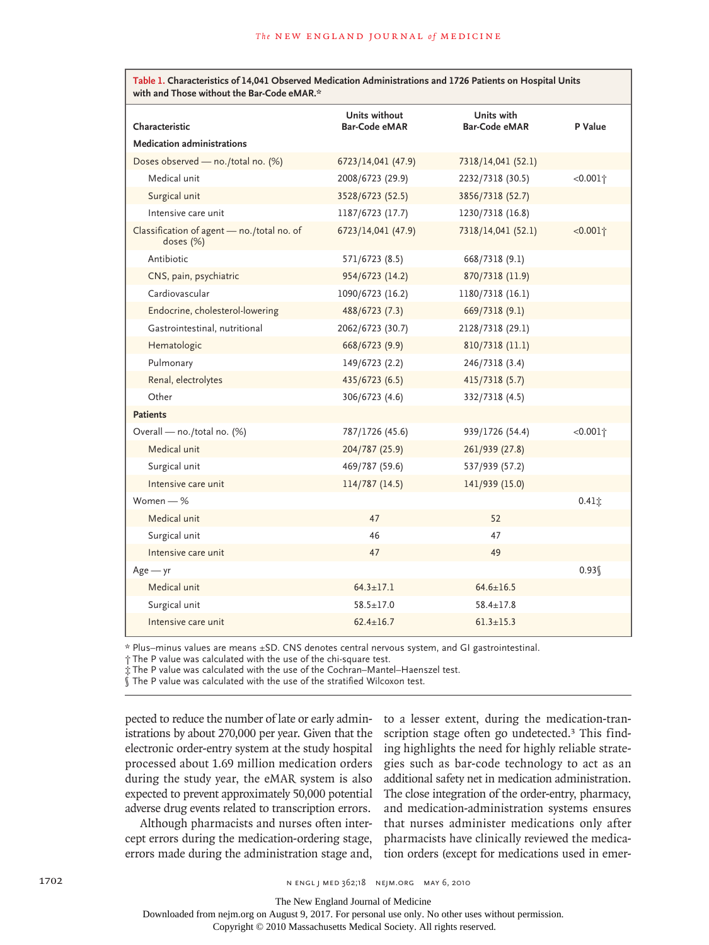| Table 1. Characteristics of 14,041 Observed Medication Administrations and 1726 Patients on Hospital Units |  |
|------------------------------------------------------------------------------------------------------------|--|
| with and Those without the Bar-Code eMAR.*                                                                 |  |

| Characteristic                                          | Units without<br><b>Bar-Code eMAR</b> | Units with<br><b>Bar-Code eMAR</b> | P Value               |
|---------------------------------------------------------|---------------------------------------|------------------------------------|-----------------------|
|                                                         |                                       |                                    |                       |
| <b>Medication administrations</b>                       |                                       |                                    |                       |
| Doses observed - no./total no. (%)                      | 6723/14,041 (47.9)                    | 7318/14,041 (52.1)                 |                       |
| Medical unit                                            | 2008/6723 (29.9)                      | 2232/7318 (30.5)                   | $<0.001$ <sup>+</sup> |
| Surgical unit                                           | 3528/6723 (52.5)                      | 3856/7318 (52.7)                   |                       |
| Intensive care unit                                     | 1187/6723 (17.7)                      | 1230/7318 (16.8)                   |                       |
| Classification of agent - no./total no. of<br>doses (%) | 6723/14,041 (47.9)                    | 7318/14,041 (52.1)                 | $<0.001$ <sup>+</sup> |
| Antibiotic                                              | 571/6723 (8.5)                        | 668/7318 (9.1)                     |                       |
| CNS, pain, psychiatric                                  | 954/6723 (14.2)                       | 870/7318 (11.9)                    |                       |
| Cardiovascular                                          | 1090/6723 (16.2)                      | 1180/7318 (16.1)                   |                       |
| Endocrine, cholesterol-lowering                         | 488/6723 (7.3)                        | 669/7318 (9.1)                     |                       |
| Gastrointestinal, nutritional                           | 2062/6723 (30.7)                      | 2128/7318 (29.1)                   |                       |
| Hematologic                                             | 668/6723 (9.9)                        | 810/7318 (11.1)                    |                       |
| Pulmonary                                               | 149/6723 (2.2)                        | 246/7318 (3.4)                     |                       |
| Renal, electrolytes                                     | 435/6723 (6.5)                        | 415/7318 (5.7)                     |                       |
| Other                                                   | 306/6723 (4.6)                        | 332/7318 (4.5)                     |                       |
| <b>Patients</b>                                         |                                       |                                    |                       |
| Overall - no./total no. (%)                             | 787/1726 (45.6)                       | 939/1726 (54.4)                    | $<0.001$ <sup>+</sup> |
| Medical unit                                            | 204/787 (25.9)                        | 261/939 (27.8)                     |                       |
| Surgical unit                                           | 469/787 (59.6)                        | 537/939 (57.2)                     |                       |
| Intensive care unit                                     | 114/787 (14.5)                        | 141/939 (15.0)                     |                       |
| Women $-$ %                                             |                                       |                                    | $0.41$ $\pm$          |
| Medical unit                                            | 47                                    | 52                                 |                       |
| Surgical unit                                           | 46                                    | 47                                 |                       |
| Intensive care unit                                     | 47                                    | 49                                 |                       |
| $Age - yr$                                              |                                       |                                    | 0.93                  |
| Medical unit                                            | $64.3 \pm 17.1$                       | $64.6 \pm 16.5$                    |                       |
| Surgical unit                                           | $58.5 + 17.0$                         | $58.4 \pm 17.8$                    |                       |
| Intensive care unit                                     | $62.4 + 16.7$                         | $61.3 + 15.3$                      |                       |

\* Plus–minus values are means ±SD. CNS denotes central nervous system, and GI gastrointestinal.

† The P value was calculated with the use of the chi-square test.

‡ The P value was calculated with the use of the Cochran–Mantel–Haenszel test.

§ The P value was calculated with the use of the stratified Wilcoxon test.

pected to reduce the number of late or early administrations by about 270,000 per year. Given that the electronic order-entry system at the study hospital processed about 1.69 million medication orders during the study year, the eMAR system is also expected to prevent approximately 50,000 potential adverse drug events related to transcription errors.

Although pharmacists and nurses often intercept errors during the medication-ordering stage, errors made during the administration stage and,

to a lesser extent, during the medication-transcription stage often go undetected.<sup>3</sup> This finding highlights the need for highly reliable strategies such as bar-code technology to act as an additional safety net in medication administration. The close integration of the order-entry, pharmacy, and medication-administration systems ensures that nurses administer medications only after pharmacists have clinically reviewed the medication orders (except for medications used in emer-

The New England Journal of Medicine

Downloaded from nejm.org on August 9, 2017. For personal use only. No other uses without permission.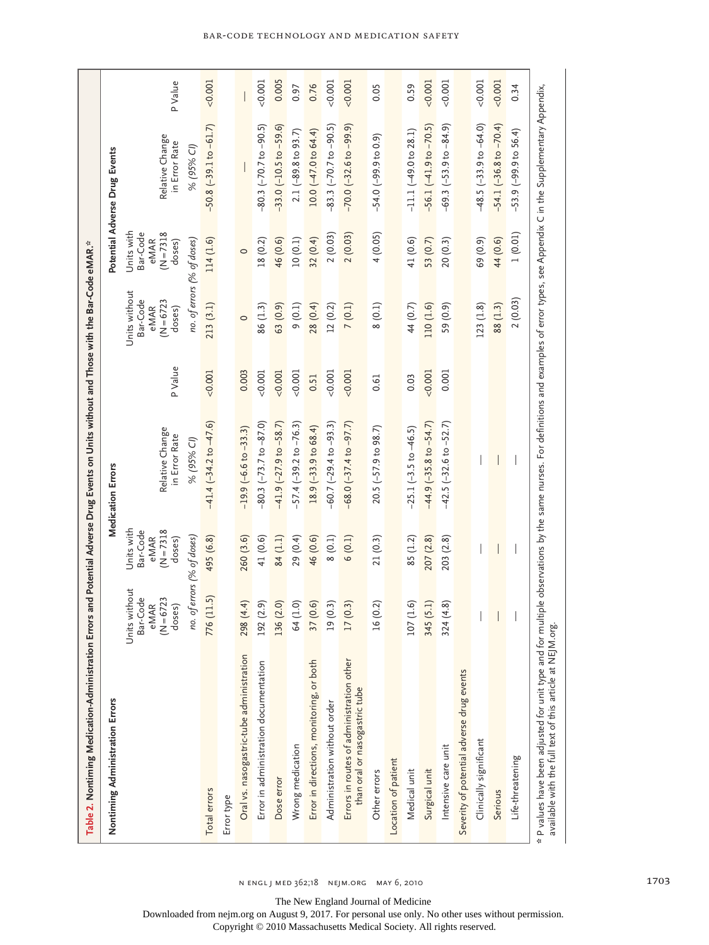| Table 2. Nontiming Medication-Administration Errors and Potential Adverse Drug Events on Units without and Those with the Bar-Code eMAR.*                                                                                                            |                                                             |                                                         |                                  |          |                                                             |                                                         |                                  |         |
|------------------------------------------------------------------------------------------------------------------------------------------------------------------------------------------------------------------------------------------------------|-------------------------------------------------------------|---------------------------------------------------------|----------------------------------|----------|-------------------------------------------------------------|---------------------------------------------------------|----------------------------------|---------|
| Nontiming Administration Errors                                                                                                                                                                                                                      |                                                             |                                                         | Medication Errors                |          |                                                             |                                                         | Potential Adverse Drug Events    |         |
|                                                                                                                                                                                                                                                      | Units without<br>Bar-Code<br>$(N = 6723)$<br>eMAR<br>doses) | Units with<br>Bar-Code<br>$(N = 7318$<br>eMAR<br>doses) | Relative Change<br>in Error Rate | P Value  | Units without<br>Bar-Code<br>$(N = 6723)$<br>eMAR<br>doses) | Units with<br>Bar-Code<br>$(N = 7318$<br>eMAR<br>doses) | Relative Change<br>in Error Rate | PValue  |
|                                                                                                                                                                                                                                                      | no. of errors (% of doses)                                  |                                                         | % (95% CI)                       |          | no. of errors (% of doses)                                  |                                                         | % (95% CI)                       |         |
| Total errors                                                                                                                                                                                                                                         | 776 (11.5)                                                  | 495 (6.8)                                               | $-41.4$ $(-34.2$ to $-47.6$ )    | < 0.001  | 213(3.1)                                                    | 114 (1.6)                                               | $-50.8$ $(-39.1$ to $-61.7)$     | 0.001   |
| Error type                                                                                                                                                                                                                                           |                                                             |                                                         |                                  |          |                                                             |                                                         |                                  |         |
| Oral vs. nasogastric-tube administration                                                                                                                                                                                                             | 298 (4.4)                                                   | 260 (3.6)                                               | $-19.9$ $(-6.6$ to $-33.3)$      | 0.003    | $\circ$                                                     | $\circ$                                                 |                                  |         |
| Error in administration documentation                                                                                                                                                                                                                | 192 (2.9)                                                   | 41 (0.6)                                                | $-80.3$ $(-73.7$ to $-87.0)$     | 0.001    | 86 (1.3)                                                    | 18 (0.2)                                                | $-80.3$ $(-70.7$ to $-90.5)$     | < 0.001 |
| Dose error                                                                                                                                                                                                                                           | 136 (2.0)                                                   | 84 (1.1)                                                | $-41.9$ $(-27.9$ to $-58.7)$     | < 0.001  | 63 (0.9)                                                    | 46 (0.6)                                                | $-33.0$ ( $-10.5$ to $-59.6$ )   | 0.005   |
| Wrong medication                                                                                                                                                                                                                                     | 64 (1.0)                                                    | 29 (0.4)                                                | $-57.4 (-39.2 to -76.3)$         | 0.001    | 9(0.1)                                                      | 10(0.1)                                                 | $2.1$ (-89.8 to 93.7)            | 0.97    |
| Error in directions, monitoring, or both                                                                                                                                                                                                             | 37 (0.6)                                                    | 46 (0.6)                                                | $18.9 (-33.9 to 68.4)$           | 0.51     | 28 (0.4)                                                    | 32(0.4)                                                 | $10.0 (-47.0 to 64.4)$           | 0.76    |
| Administration without order                                                                                                                                                                                                                         | 19 (0.3)                                                    | 8(0.1)                                                  | $-60.7$ $(-29.4$ to $-93.3)$     | $-0.001$ | 12(0.2)                                                     | 2(0.03)                                                 | $-83.3$ $(-70.7$ to $-90.5)$     | 0.001   |
| Errors in routes of administration other<br>than oral or nasogastric tube                                                                                                                                                                            | 17(0.3)                                                     | 6(0.1)                                                  | $-68.0 (-37.4 to -97.7)$         | $-0.001$ | 7(0.1)                                                      | 2(0.03)                                                 | $-70.0$ $(-32.6$ to $-99.9)$     | 0.001   |
| Other errors                                                                                                                                                                                                                                         | 16 (0.2)                                                    | 21(0.3)                                                 | $20.5 (-57.9 to 98.7)$           | 0.61     | 8(0.1)                                                      | 4(0.05)                                                 | $-54.0$ $(-99.9$ to 0.9)         | 0.05    |
| Location of patient                                                                                                                                                                                                                                  |                                                             |                                                         |                                  |          |                                                             |                                                         |                                  |         |
| Medical unit                                                                                                                                                                                                                                         | 107(1.6)                                                    | 85 (1.2)                                                | $-25.1(-3.5 to -46.5)$           | 0.03     | 44 (0.7)                                                    | 41 (0.6)                                                | $-11.1$ $(-49.0$ to $28.1)$      | 0.59    |
| Surgical unit                                                                                                                                                                                                                                        | 345 (5.1)                                                   | 207 (2.8)                                               | $-44.9$ $(-35.8$ to $-54.7)$     | $-0.001$ | 110 (1.6)                                                   | 53 (0.7)                                                | $-56.1(-41.9 to -70.5)$          | < 0.001 |
| Intensive care unit                                                                                                                                                                                                                                  | 324(4.8)                                                    | 203 (2.8)                                               | $-42.5$ ( $-32.6$ to $-52.7$ )   | 0.001    | 59 (0.9)                                                    | 20(0.3)                                                 | $-69.3 (-53.9 to -84.9)$         | 0.001   |
| Severity of potential adverse drug events                                                                                                                                                                                                            |                                                             |                                                         |                                  |          |                                                             |                                                         |                                  |         |
| Clinically significant                                                                                                                                                                                                                               |                                                             |                                                         |                                  |          | 123(1.8)                                                    | 69 (0.9)                                                | $-48.5$ $(-33.9$ to $-64.0)$     | < 0.001 |
| Serious                                                                                                                                                                                                                                              |                                                             |                                                         |                                  |          | 88 (1.3)                                                    | 44 (0.6)                                                | $-54.1$ $(-36.8$ to $-70.4)$     | < 0.001 |
| Life-threatening                                                                                                                                                                                                                                     |                                                             |                                                         |                                  |          | 2(0.03)                                                     | 1(0.01)                                                 | $-53.9$ $(-99.9$ to $56.4)$      | 0.34    |
| * P values have been adjusted for unit type and for multiple observations by the same nurses. For definitions and examples of error types, see Appendix C in the Supplementary Appendix,<br>available with the full text of this article at NEJM.org |                                                             |                                                         |                                  |          |                                                             |                                                         |                                  |         |

n engl j med 362;18 nejm.org may 6, 2010 1703

#### Bar-Code Technology and Medication Safety

The New England Journal of Medicine Downloaded from nejm.org on August 9, 2017. For personal use only. No other uses without permission.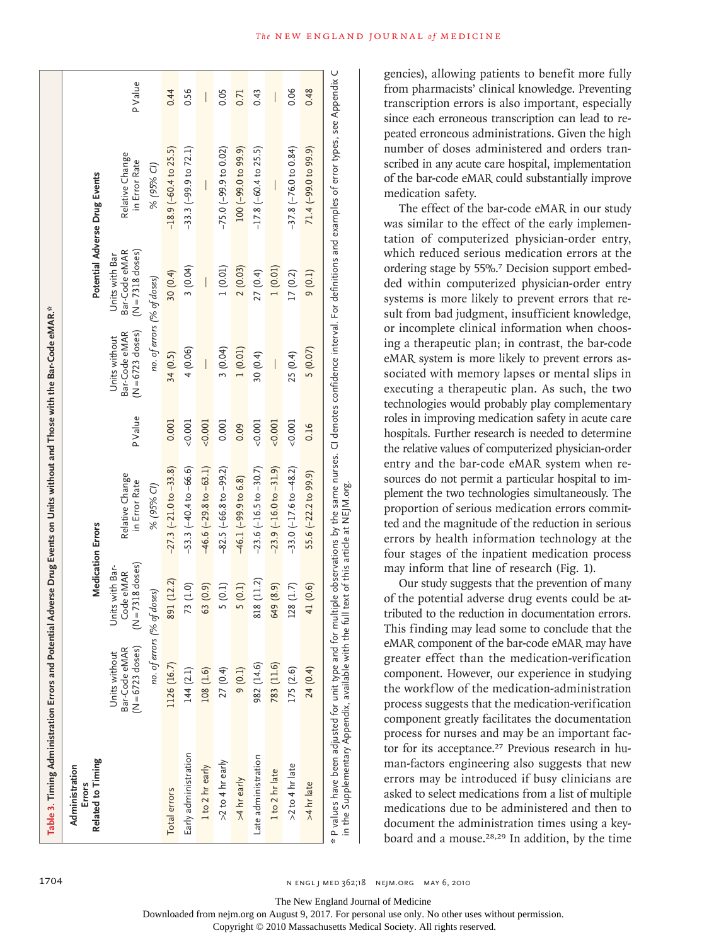| Related to Timing<br>Administration<br>Errors |                                                    | <b>Medication Errors</b>                           |                                   |          |                                                      |                                                       | Potential Adverse Drug Events    |                          |
|-----------------------------------------------|----------------------------------------------------|----------------------------------------------------|-----------------------------------|----------|------------------------------------------------------|-------------------------------------------------------|----------------------------------|--------------------------|
|                                               | Bar-Code eMAR<br>(N = 6723 doses)<br>Units without | $(N = 7318$ doses)<br>Units with Bar-<br>Code eMAR | Relative Change<br>in Error Rate  | P Value  | $(N = 6723$ doses)<br>Bar-Code eMAR<br>Units without | $(N = 7318$ doses)<br>Bar-Code eMAR<br>Units with Bar | Relative Change<br>in Error Rate | PValue                   |
|                                               |                                                    | no. of errors (% of doses)                         | % (95% CI)                        |          | no. of errors (% of doses)                           |                                                       | % (95% CI)                       |                          |
| Total errors                                  | 1126 (16.7)                                        | 891 (12.2)                                         | $-27.3$ $(-21.0$ to $-33.8)$      | 0.001    | 34 (0.5)                                             | 30 (0.4)                                              | $-18.9$ ( $-60.4$ to 25.5)       | 0.44                     |
| Early administration                          | 144 (2.1)                                          | 73 (1.0)                                           | $-53.3 (-40.4 to -66.6)$          | 0.001    | 4(0.06)                                              | 3(0.04)                                               | $-33.3$ $(-99.9$ to $72.1)$      | 0.56                     |
| 1 to 2 hr early                               | 108 (1.6)                                          | 63 (0.9)                                           | $-46.6$ $(-29.8$ to $-63.1)$      | $-0.001$ | I                                                    | $\overline{\phantom{a}}$                              | I                                | $\overline{\phantom{a}}$ |
| >2 to 4 hr early                              | 27 (0.4)                                           | 5(0.1)                                             | $-82.5 (-66.8 \text{ to } -99.2)$ | 0.001    | 3(0.04)                                              | 1(0.01)                                               | $-75.0 (-99.9 to 0.02)$          | 0.05                     |
| >4 hr early                                   | 9(0.1)                                             | 5(0.1)                                             | $-46.1(-99.9 to 6.8)$             | 0.09     | 1(0.01)                                              | 2(0.03)                                               | $100 (-99.0 to 99.9)$            | 0.71                     |
| Late administration                           | 982 (14.6)                                         | 818 (11.2)                                         | $-23.6$ $(-16.5$ to $-30.7)$      | $-0.001$ | 30(0.4)                                              | 27 (0.4)                                              | $-17.8$ ( $-60.4$ to 25.5)       | 0.43                     |
| 1 to 2 hr late                                | 783 (11.6)                                         | 649 (8.9)                                          | $-23.9$ ( $-16.0$ to $-31.9$ )    | $-0.001$ | $\overline{\phantom{a}}$                             | 1(0.01)                                               | $\overline{\phantom{a}}$         | $\bigg $                 |
| $>2$ to 4 hr late                             | 175 (2.6)                                          | 128(1.7)                                           | $-33.0$ $(-17.6$ to $-48.2)$      | $-0.001$ | 25 (0.4)                                             | 17(0.2)                                               | $-37.8$ ( $-76.0$ to 0.84)       | 0.06                     |
| >4 hr late                                    | 24 (0.4)                                           | 41 (0.6)                                           | $55.6$ $(-22.2 t_0 99.9)$         | 0.16     | 5(0.07)                                              | 9(0.1)                                                | 71.4 (-99.0 to 99.9)             | 0.48                     |

gencies), allowing patients to benefit more fully from pharmacists' clinical knowledge. Preventing transcription errors is also important, especially since each erroneous transcription can lead to repeated erroneous administrations. Given the high number of doses administered and orders transcribed in any acute care hospital, implementation of the bar-code eMAR could substantially improve medication safety.

The effect of the bar-code eMAR in our study was similar to the effect of the early implementation of computerized physician-order entry, which reduced serious medication errors at the ordering stage by 55%.7 Decision support embedded within computerized physician-order entry systems is more likely to prevent errors that result from bad judgment, insufficient knowledge, or incomplete clinical information when choosing a therapeutic plan; in contrast, the bar-code eMAR system is more likely to prevent errors associated with memory lapses or mental slips in executing a therapeutic plan. As such, the two technologies would probably play complementary roles in improving medication safety in acute care hospitals. Further research is needed to determine the relative values of computerized physician-order entry and the bar-code eMAR system when resources do not permit a particular hospital to implement the two technologies simultaneously. The proportion of serious medication errors committed and the magnitude of the reduction in serious errors by health information technology at the four stages of the inpatient medication process may inform that line of research (Fig. 1).

Our study suggests that the prevention of many of the potential adverse drug events could be attributed to the reduction in documentation errors. This finding may lead some to conclude that the eMAR component of the bar-code eMAR may have greater effect than the medication-verification component. However, our experience in studying the workflow of the medication-administration process suggests that the medication-verification component greatly facilitates the documentation process for nurses and may be an important factor for its acceptance.<sup>27</sup> Previous research in human-factors engineering also suggests that new errors may be introduced if busy clinicians are asked to select medications from a list of multiple medications due to be administered and then to document the administration times using a keyboard and a mouse.28,29 In addition, by the time

The New England Journal of Medicine

Downloaded from nejm.org on August 9, 2017. For personal use only. No other uses without permission.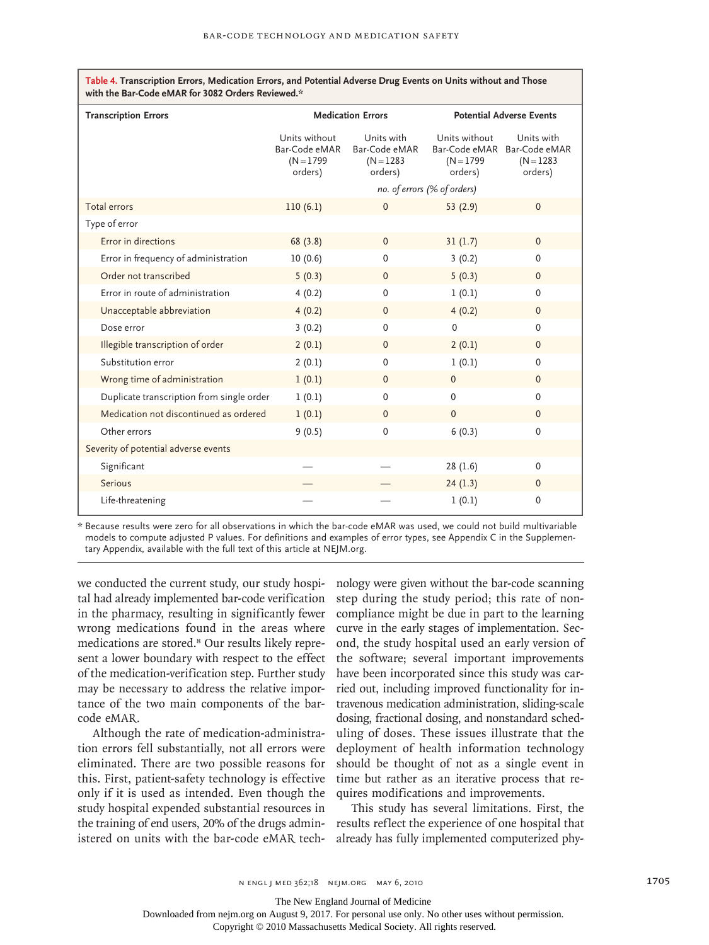| <b>Transcription Errors</b>               |                                                           | <b>Medication Errors</b>                               |                                          | <b>Potential Adverse Events</b>                                      |
|-------------------------------------------|-----------------------------------------------------------|--------------------------------------------------------|------------------------------------------|----------------------------------------------------------------------|
|                                           | Units without<br>Bar-Code eMAR<br>$(N = 1799)$<br>orders) | Units with<br>Bar-Code eMAR<br>$(N = 1283)$<br>orders) | Units without<br>$(N = 1799)$<br>orders) | Units with<br>Bar-Code eMAR Bar-Code eMAR<br>$(N = 1283)$<br>orders) |
|                                           |                                                           |                                                        | no. of errors (% of orders)              |                                                                      |
| Total errors                              | 110(6.1)                                                  | $\mathbf{0}$                                           | 53(2.9)                                  | $\Omega$                                                             |
| Type of error                             |                                                           |                                                        |                                          |                                                                      |
| Error in directions                       | 68(3.8)                                                   | $\Omega$                                               | 31(1.7)                                  | $\Omega$                                                             |
| Error in frequency of administration      | 10(0.6)                                                   | $\mathbf 0$                                            | 3(0.2)                                   | $\mathbf 0$                                                          |
| Order not transcribed                     | 5(0.3)                                                    | $\mathbf{0}$                                           | 5(0.3)                                   | $\mathbf{0}$                                                         |
| Error in route of administration          | 4(0.2)                                                    | $\mathbf 0$                                            | 1(0.1)                                   | $\mathbf 0$                                                          |
| Unacceptable abbreviation                 | 4(0.2)                                                    | $\mathbf{0}$                                           | 4(0.2)                                   | $\mathbf{0}$                                                         |
| Dose error                                | 3(0.2)                                                    | $\mathbf 0$                                            | $\mathbf 0$                              | $\Omega$                                                             |
| Illegible transcription of order          | 2(0.1)                                                    | $\Omega$                                               | 2(0.1)                                   | $\Omega$                                                             |
| Substitution error                        | 2(0.1)                                                    | $\mathbf 0$                                            | 1(0.1)                                   | $\mathbf 0$                                                          |
| Wrong time of administration              | 1(0.1)                                                    | $\mathbf{0}$                                           | $\mathbf{0}$                             | $\mathbf{0}$                                                         |
| Duplicate transcription from single order | 1(0.1)                                                    | $\mathbf{0}$                                           | $\mathbf 0$                              | $\mathbf{0}$                                                         |
| Medication not discontinued as ordered    | 1(0.1)                                                    | $\mathbf{0}$                                           | $\mathbf{0}$                             | $\Omega$                                                             |
| Other errors                              | 9(0.5)                                                    | 0                                                      | 6(0.3)                                   | $\mathbf 0$                                                          |
| Severity of potential adverse events      |                                                           |                                                        |                                          |                                                                      |
| Significant                               |                                                           |                                                        | 28(1.6)                                  | $\mathbf 0$                                                          |
| Serious                                   |                                                           |                                                        | 24(1.3)                                  | $\mathbf{0}$                                                         |
| Life-threatening                          |                                                           |                                                        | 1(0.1)                                   | $\mathbf 0$                                                          |

**Table 4. Transcription Errors, Medication Errors, and Potential Adverse Drug Events on Units without and Those** 

\* Because results were zero for all observations in which the bar-code eMAR was used, we could not build multivariable models to compute adjusted P values. For definitions and examples of error types, see Appendix C in the Supplementary Appendix, available with the full text of this article at NEJM.org.

we conducted the current study, our study hospital had already implemented bar-code verification in the pharmacy, resulting in significantly fewer wrong medications found in the areas where medications are stored.<sup>8</sup> Our results likely represent a lower boundary with respect to the effect of the medication-verification step. Further study may be necessary to address the relative importance of the two main components of the barcode eMAR.

Although the rate of medication-administration errors fell substantially, not all errors were eliminated. There are two possible reasons for this. First, patient-safety technology is effective only if it is used as intended. Even though the study hospital expended substantial resources in the training of end users, 20% of the drugs administered on units with the bar-code eMAR technology were given without the bar-code scanning step during the study period; this rate of noncompliance might be due in part to the learning curve in the early stages of implementation. Second, the study hospital used an early version of the software; several important improvements have been incorporated since this study was carried out, including improved functionality for intravenous medication administration, sliding-scale dosing, fractional dosing, and nonstandard scheduling of doses. These issues illustrate that the deployment of health information technology should be thought of not as a single event in time but rather as an iterative process that requires modifications and improvements.

This study has several limitations. First, the results reflect the experience of one hospital that already has fully implemented computerized phy-

The New England Journal of Medicine

Downloaded from nejm.org on August 9, 2017. For personal use only. No other uses without permission.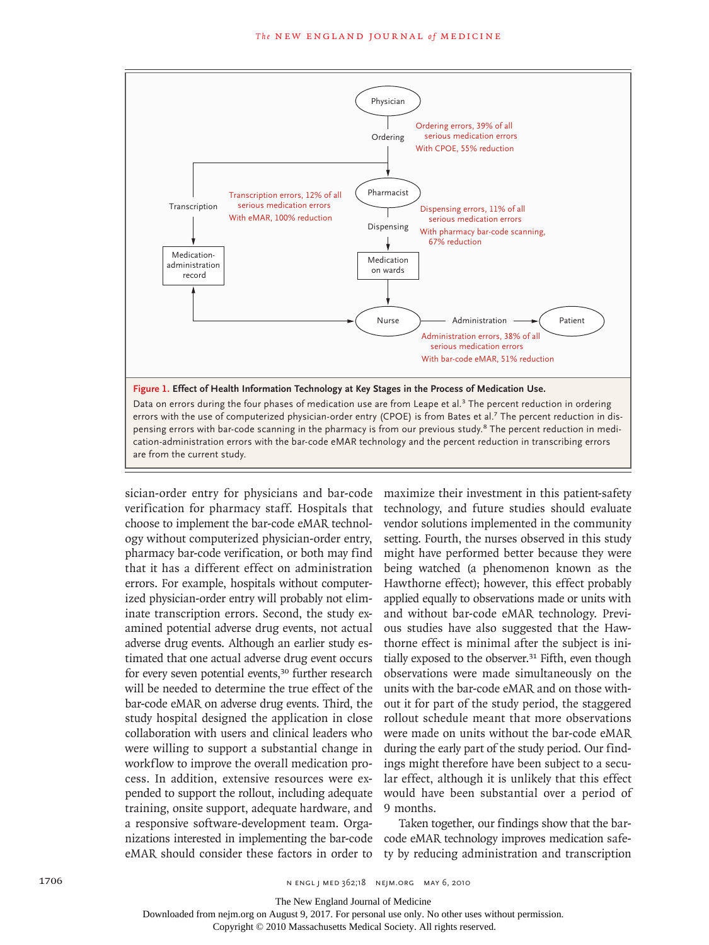

sician-order entry for physicians and bar-code verification for pharmacy staff. Hospitals that choose to implement the bar-code eMAR technology without computerized physician-order entry, pharmacy bar-code verification, or both may find that it has a different effect on administration errors. For example, hospitals without computerized physician-order entry will probably not eliminate transcription errors. Second, the study examined potential adverse drug events, not actual adverse drug events. Although an earlier study estimated that one actual adverse drug event occurs for every seven potential events,<sup>30</sup> further research will be needed to determine the true effect of the bar-code eMAR on adverse drug events. Third, the study hospital designed the application in close collaboration with users and clinical leaders who were willing to support a substantial change in workflow to improve the overall medication process. In addition, extensive resources were expended to support the rollout, including adequate training, onsite support, adequate hardware, and a responsive software-development team. Organizations interested in implementing the bar-code eMAR should consider these factors in order to

maximize their investment in this patient-safety technology, and future studies should evaluate vendor solutions implemented in the community setting. Fourth, the nurses observed in this study might have performed better because they were being watched (a phenomenon known as the Hawthorne effect); however, this effect probably applied equally to observations made or units with and without bar-code eMAR technology. Previous studies have also suggested that the Hawthorne effect is minimal after the subject is initially exposed to the observer.<sup>31</sup> Fifth, even though observations were made simultaneously on the units with the bar-code eMAR and on those without it for part of the study period, the staggered rollout schedule meant that more observations were made on units without the bar-code eMAR during the early part of the study period. Our findings might therefore have been subject to a secular effect, although it is unlikely that this effect would have been substantial over a period of 9 months.

Taken together, our findings show that the barcode eMAR technology improves medication safety by reducing administration and transcription

The New England Journal of Medicine

Downloaded from nejm.org on August 9, 2017. For personal use only. No other uses without permission.